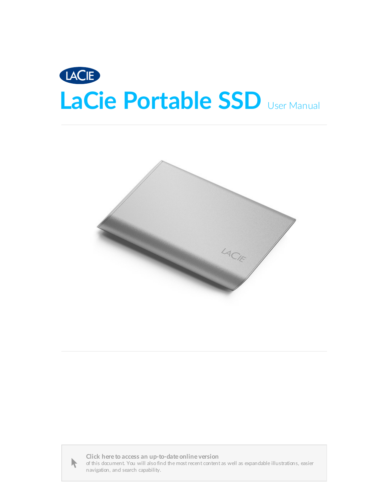





Click here to access an [up-to-date](https://www.lacie.com/manuals/portable-ssd/) online version<br>of this document. You will also find the most recent content as well as expandable illustrations, easier<br>navigation, and search capability.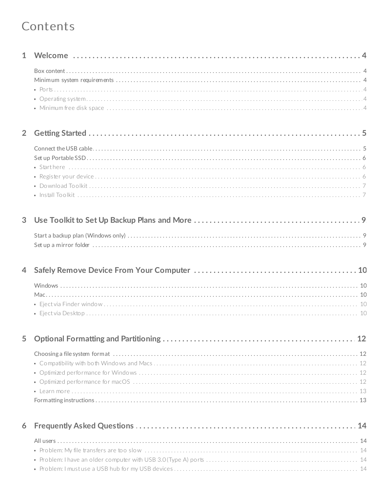#### Contents

| 1              |  |
|----------------|--|
|                |  |
| $\overline{2}$ |  |
|                |  |
| 3              |  |
|                |  |
| $\overline{4}$ |  |
|                |  |
| 5              |  |
|                |  |
| 6              |  |
|                |  |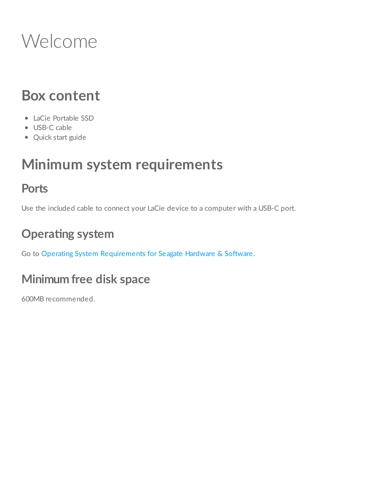## <span id="page-3-0"></span>Welcome

### <span id="page-3-1"></span>**Box content**

- LaCie Portable SSD
- USB-C cable
- Quick start guide

### <span id="page-3-2"></span>**Minimum system requirements**

#### <span id="page-3-3"></span>**Ports**

Use the included cable to connect your LaCie device to a computer with a USB-C port.

### <span id="page-3-4"></span>**Operating** system

Go to Operating System [Requirements](https://www.lacie.com/os/) for Seagate Hardware & Software.

### <span id="page-3-5"></span>**Minimum free disk space**

600MB recommended.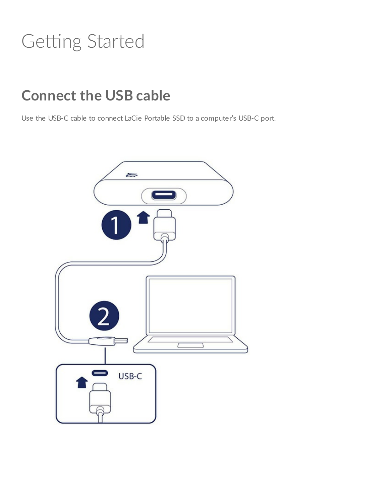## <span id="page-4-0"></span>Getting Started

### <span id="page-4-1"></span>**Connect the USB cable**

Use the USB-C cable to connect LaCie Portable SSD to a computer's USB-C port.

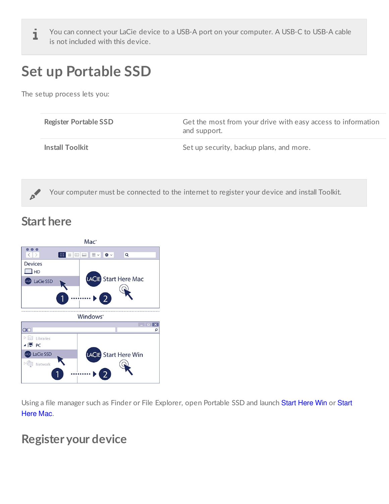You can connect your LaCie device to a USB-A port on your computer. A USB-C to USB-A cable is not included with this device.

### <span id="page-5-0"></span>**Set up Portable SSD**

The setup process lets you:

| <b>Register Portable SSD</b> | Get the most from your drive with easy access to information<br>and support. |  |  |  |  |
|------------------------------|------------------------------------------------------------------------------|--|--|--|--|
| <b>Install Toolkit</b>       | Set up security, backup plans, and more.                                     |  |  |  |  |



Your computer must be connected to the internet to register your device and install Toolkit.

#### <span id="page-5-1"></span>**Start here**



Using a file manager such as Finder or File Explorer, open Portable SSD and launch Start Here Win or Start Here Mac.

#### <span id="page-5-2"></span>**Register your device**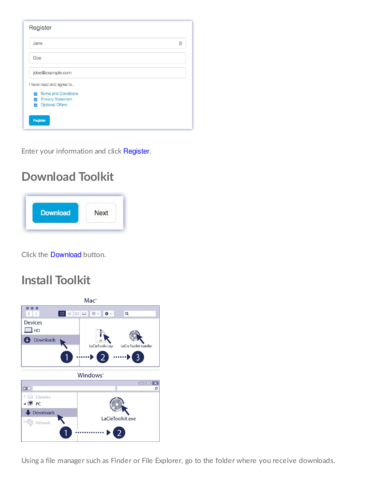| Register                                                                                                                                                              |   |
|-----------------------------------------------------------------------------------------------------------------------------------------------------------------------|---|
| Jane                                                                                                                                                                  | 固 |
| Doe                                                                                                                                                                   |   |
| jdoe@example.com                                                                                                                                                      |   |
| I have read and agree to<br><b>Terms and Conditions</b><br>Ø<br><b>Privacy Statement</b><br>$\overline{\mathscr{S}}$<br><b>Optional Offers</b><br>$\overline{\smile}$ |   |
| Register                                                                                                                                                              |   |

Enter your information and click Register.

### <span id="page-6-0"></span>**Download Toolkit**



Click the Download button.

#### <span id="page-6-1"></span>**Install Toolkit**



Using a file manager such as Finder or File Explorer, go to the folder where you receive downloads.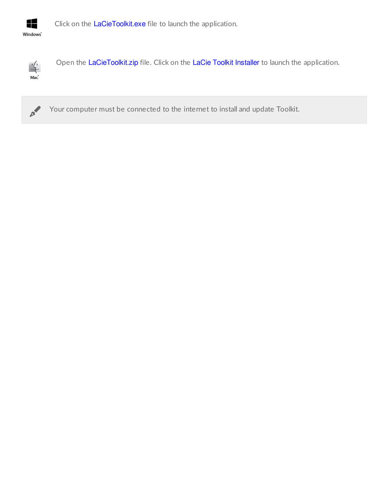

Click on the LaCieToolkit.exe file to launch the application.



Open the LaCieToolkit.zip file. Click on the LaCie Toolkit Installer to launch the application.



Your computer must be connected to the internet to install and update Toolkit.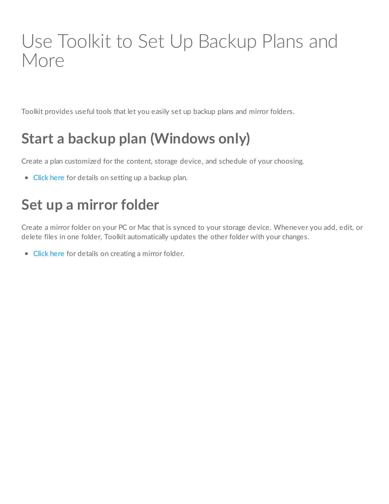## <span id="page-8-0"></span>Use Toolkit to Set Up Backup Plans and More

Toolkit provides useful tools that let you easily set up backup plans and mirror folders.

### <span id="page-8-1"></span>**Start a backup plan (Windows only)**

Create a plan customized for the content, storage device, and schedule of your choosing.

• [Click](https://www.lacie.com/manuals/software/toolkit/backing-up/) here for details on setting up a backup plan.

### <span id="page-8-2"></span>**Set up a mirror folder**

Create a mirror folder on your PC or Mac that is synced to your storage device. Whenever you add, edit, or delete files in one folder, Toolkit automatically updates the other folder with your changes.

• [Click](https://www.lacie.com/manuals/software/toolkit/mirror-folders/) here for details on creating a mirror folder.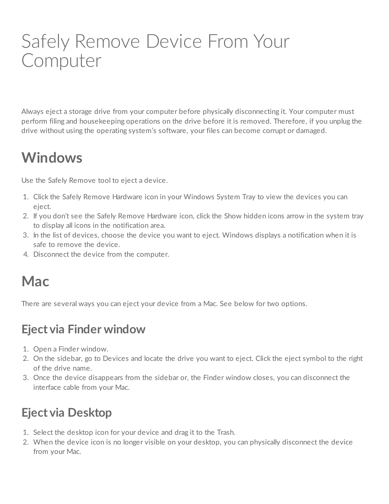## <span id="page-9-0"></span>Safely Remove Device From Your Computer

Always eject a storage drive from your computer before physically disconnecting it. Your computer must perform filing and housekeeping operations on the drive before it is removed. Therefore, if you unplug the drive without using the operating system's software, your files can become corrupt or damaged.

### <span id="page-9-1"></span>**Windows**

Use the Safely Remove tool to eject a device.

- 1. Click the Safely Remove Hardware icon in your Windows System Tray to view the devices you can eject.
- 2. If you don't see the Safely Remove Hardware icon, click the Show hidden icons arrow in the system tray to display all icons in the notification area.
- 3. In the list of devices, choose the device you want to eject. Windows displays a notification when it is safe to remove the device.
- 4. Disconnect the device from the computer.

### <span id="page-9-2"></span>**Mac**

There are several ways you can eject your device from a Mac. See below for two options.

#### <span id="page-9-3"></span>**Eject via Finder window**

- 1. Open a Finder window.
- 2. On the sidebar, go to Devices and locate the drive you want to eject. Click the eject symbol to the right of the drive name.
- 3. Once the device disappears from the sidebar or, the Finder window closes, you can disconnect the interface cable from your Mac.

### <span id="page-9-4"></span>**Eject via Desktop**

- 1. Select the desktop icon for your device and drag it to the Trash.
- 2. When the device icon is no longer visible on your desktop, you can physically disconnect the device from your Mac.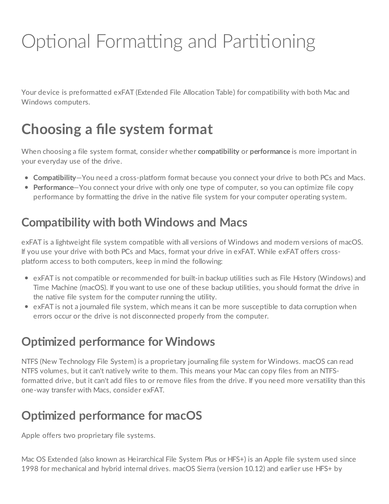# <span id="page-11-0"></span>Optional Formatting and Partitioning

Your device is preformatted exFAT (Extended File Allocation Table) for compatibility with both Mac and Windows computers.

### <span id="page-11-1"></span>**Choosing a file system format**

When choosing a file system format, consider whether **compatibility** or **performance** is more important in your everyday use of the drive.

- **Compatibility**—You need a cross-platform format because you connect your drive to both PCs and Macs.
- **Performance**—You connect your drive with only one type of computer, so you can optimize file copy performance by formatting the drive in the native file system for your computer operating system.

### <span id="page-11-2"></span>**Compa5bility with both Windows and Macs**

exFAT is a lightweight file system compatible with all versions of Windows and modern versions of macOS. If you use your drive with both PCs and Macs, format your drive in exFAT. While exFAT offers crossplatform access to both computers, keep in mind the following:

- exFAT is not compatible or recommended for built-in backup utilities such as File History (Windows) and Time Machine (macOS). If you want to use one of these backup utilities, you should format the drive in the native file system for the computer running the utility.
- exFAT is not a journaled file system, which means it can be more susceptible to data corruption when errors occur or the drive is not disconnected properly from the computer.

#### <span id="page-11-3"></span>**Optimized performance for Windows**

NTFS (New Technology File System) is a proprietary journaling file system for Windows. macOS can read NTFS volumes, but it can't natively write to them. This means your Mac can copy files from an NTFSformatted drive, but it can't add files to or remove files from the drive. If you need more versatility than this one-way transfer with Macs, consider exFAT.

### <span id="page-11-4"></span>**Op5mized performance for macOS**

Apple offers two proprietary file systems.

Mac OS Extended (also known as Heirarchical File System Plus or HFS+) is an Apple file system used since 1998 for mechanical and hybrid internal drives. macOS Sierra (version 10.12) and earlier use HFS+ by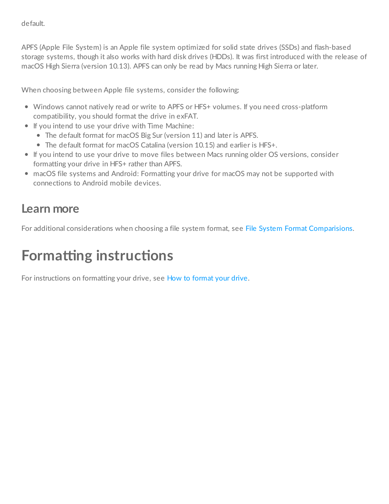default.

APFS (Apple File System) is an Apple file system optimized for solid state drives (SSDs) and flash-based storage systems, though it also works with hard disk drives (HDDs). It was first introduced with the release of macOS High Sierra (version 10.13). APFS can only be read by Macs running High Sierra or later.

When choosing between Apple file systems, consider the following:

- Windows cannot natively read or write to APFS or HFS+ volumes. If you need cross-platform compatibility, you should format the drive in exFAT.
- If you intend to use your drive with Time Machine:
	- The default format for macOS Big Sur (version 11) and later is APFS.
	- The default format for macOS Catalina (version 10.15) and earlier is HFS+.
- If you intend to use your drive to move files between Macs running older OS versions, consider formatting your drive in HFS+ rather than APFS.
- macOS file systems and Android: Formatting your drive for macOS may not be supported with connections to Android mobile devices.

#### <span id="page-12-0"></span>**Learn more**

For additional considerations when choosing a file system format, see File System Format [Comparisions](https://www.seagate.com/format-comparison).

### <span id="page-12-1"></span>**Formatting instructions**

For instructions on [format](https://www.seagate.com/format-drive)ting your drive, see How to format your drive.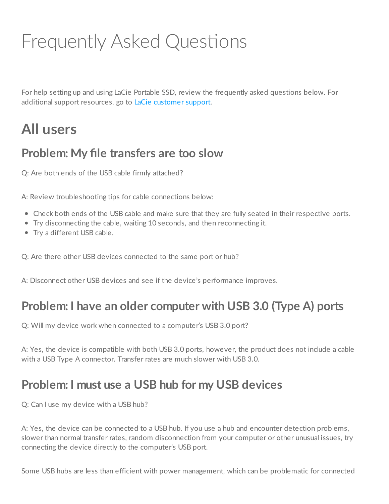# <span id="page-13-0"></span>Frequently Asked Questions

For help setting up and using LaCie Portable SSD, review the frequently asked questions below. For additional support resources, go to LaCie [customer](https://www.lacie.com/support/mobile-storage/mobile-ssd-secure) support.

### <span id="page-13-1"></span>**All users**

#### <span id="page-13-2"></span>**Problem: My file transfers are too slow**

Q: Are both ends of the USB cable firmly attached?

A: Review troubleshooting tips for cable connections below:

- Check both ends of the USB cable and make sure that they are fully seated in their respective ports.
- Try disconnecting the cable, waiting 10 seconds, and then reconnecting it.
- Try a different USB cable.

Q: Are there other USB devices connected to the same port or hub?

A: Disconnect other USB devices and see if the device's performance improves.

#### <span id="page-13-3"></span>**Problem: I have an older computer with USB 3.0 (Type A) ports**

Q: Will my device work when connected to a computer's USB 3.0 port?

A: Yes, the device is compatible with both USB 3.0 ports, however, the product does not include a cable with a USB Type A connector. Transfer rates are much slower with USB 3.0.

#### <span id="page-13-4"></span>**Problem: I must use a USB hub for my USB devices**

Q: Can I use my device with a USB hub?

A: Yes, the device can be connected to a USB hub. If you use a hub and encounter detection problems, slower than normal transfer rates, random disconnection from your computer or other unusual issues, try connecting the device directly to the computer's USB port.

Some USB hubs are less than efficient with power management, which can be problematic for connected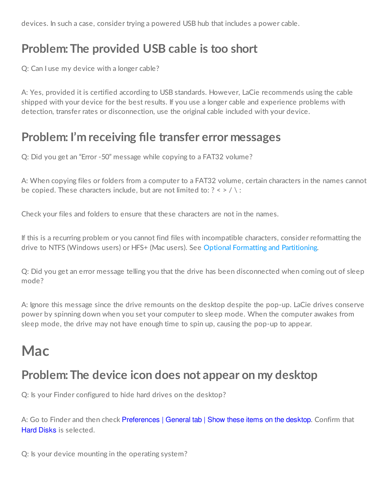devices. In such a case, consider trying a powered USB hub that includes a power cable.

#### <span id="page-14-0"></span>**Problem:The provided USB cable is too short**

Q: Can I use my device with a longer cable?

A: Yes, provided it is certified according to USB standards. However, LaCie recommends using the cable shipped with your device for the best results. If you use a longer cable and experience problems with detection, transfer rates or disconnection, use the original cable included with your device.

#### <span id="page-14-1"></span>**Problem: I'm receiving file transfer error messages**

Q: Did you get an "Error -50" message while copying to a FAT32 volume?

A: When copying files or folders from a computer to a FAT32 volume, certain characters in the names cannot be copied. These characters include, but are not limited to:  $? \leq / \$ :

Check your files and folders to ensure that these characters are not in the names.

If this is a recurring problem or you cannot find files with incompatible characters, consider reformatting the drive to NTFS (Windows users) or HFS+ (Mac users). See Optional Formatting and [Partitioning](https://www.lacie.com/manuals/portable-ssd/optional-formatting/).

Q: Did you get an error message telling you that the drive has been disconnected when coming out of sleep mode?

A: Ignore this message since the drive remounts on the desktop despite the pop-up. LaCie drives conserve power by spinning down when you set your computer to sleep mode. When the computer awakes from sleep mode, the drive may not have enough time to spin up, causing the pop-up to appear.

### <span id="page-14-2"></span>**Mac**

#### <span id="page-14-3"></span>**Problem:The device icon does not appear on my desktop**

Q: Is your Finder configured to hide hard drives on the desktop?

A: Go to Finder and then check Preferences | General tab | Show these items on the desktop. Confirm that Hard Disks is selected.

Q: Is your device mounting in the operating system?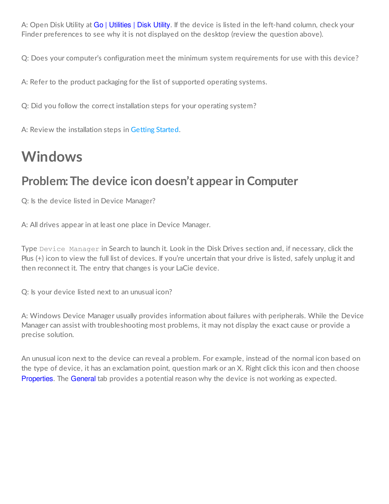A: Open Disk Utility at Go | Utilities | Disk Utility. If the device is listed in the left-hand column, check your Finder preferences to see why it is not displayed on the desktop (review the question above).

Q: Does your computer's configuration meet the minimum system requirements for use with this device?

A: Refer to the product packaging for the list of supported operating systems.

Q: Did you follow the correct installation steps for your operating system?

A: Review the installation steps in [Getting](https://www.lacie.com/manuals/portable-ssd/getting-started/) Started.

### <span id="page-15-0"></span>**Windows**

#### <span id="page-15-1"></span>**Problem:The device icon doesn't appear in Computer**

Q: Is the device listed in Device Manager?

A: All drives appear in at least one place in Device Manager.

Type Device Manager in Search to launch it. Look in the Disk Drives section and, if necessary, click the Plus (+) icon to view the full list of devices. If you're uncertain that your drive is listed, safely unplug it and then reconnect it. The entry that changes is your LaCie device.

Q: Is your device listed next to an unusual icon?

A: Windows Device Manager usually provides information about failures with peripherals. While the Device Manager can assist with troubleshooting most problems, it may not display the exact cause or provide a precise solution.

An unusual icon next to the device can reveal a problem. For example, instead of the normal icon based on the type of device, it has an exclamation point, question mark or an X. Right click this icon and then choose Properties. The General tab provides a potential reason why the device is not working as expected.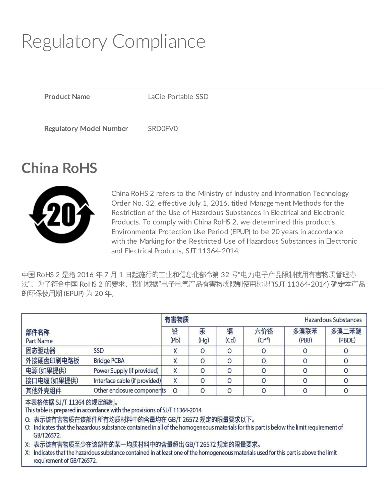# <span id="page-16-0"></span>Regulatory Compliance

**Product Name** LaCie Portable SSD **Regulatory Model Number** SRD0FV0

### <span id="page-16-1"></span>**China RoHS**



China RoHS 2 refers to the Ministry of Industry and Information Technology Order No. 32, effective July 1, 2016, titled Management Methods for the Restriction of the Use of Hazardous Substances in Electrical and Electronic Products. To comply with China RoHS 2, we determined this product's Environmental Protection Use Period (EPUP) to be 20 years in accordance with the Marking for the Restricted Use of Hazardous Substances in Electronic and Electrical Products, SJT 11364-2014.

中国 RoHS 2 是指 2016 年 7 月 1 日起施行的工业和信息化部令第 32 号"电力电子产品限制使用有害物质管理办 法"。为了符合中国 RoHS 2 的要求,我们根据"电子电气产品有害物质限制使用标识"(SJT 11364-2014) 确定本产品 的环保使用期 (EPUP) 为 20 年。

|                          | 有害物质<br>Hazardous Substances  |           |           |           |                    |               |                 |
|--------------------------|-------------------------------|-----------|-----------|-----------|--------------------|---------------|-----------------|
| 部件名称<br><b>Part Name</b> |                               | 铅<br>(Pb) | 汞<br>(Hq) | 镉<br>(Cd) | 六价铬<br>$(Cr^{+6})$ | 多溴联苯<br>(PBB) | 多溴二苯醚<br>(PBDE) |
| 固态驱动器                    | SSD                           |           |           |           | O                  |               |                 |
| 外接硬盘印刷电路板                | <b>Bridge PCBA</b>            |           |           |           |                    |               |                 |
| 电源(如果提供)                 | Power Supply (if provided)    |           |           |           | Ω                  |               |                 |
| 接口电缆(如果提供)               | Interface cable (if provided) |           |           |           | 0                  |               | 0               |
| 其他外壳组件                   | Other enclosure components    | $\circ$   |           |           | 0                  |               | 0               |

本表格依据 SJ/T 11364 的规定编制。

This table is prepared in accordance with the provisions of SJ/T 11364-2014

O: 表示该有害物质在该部件所有均质材料中的含量均在 GB/T 26572 规定的限量要求以下。

O: Indicates that the hazardous substance contained in all of the homogeneous materials for this part is below the limit requirement of GB/T26572.

X: 表示该有害物质至少在该部件的某一均质材料中的含量超出 GB/T 26572 规定的限量要求。

X: Indicates that the hazardous substance contained in at least one of the homogeneous materials used for this part is above the limit requirement of GB/T26572.